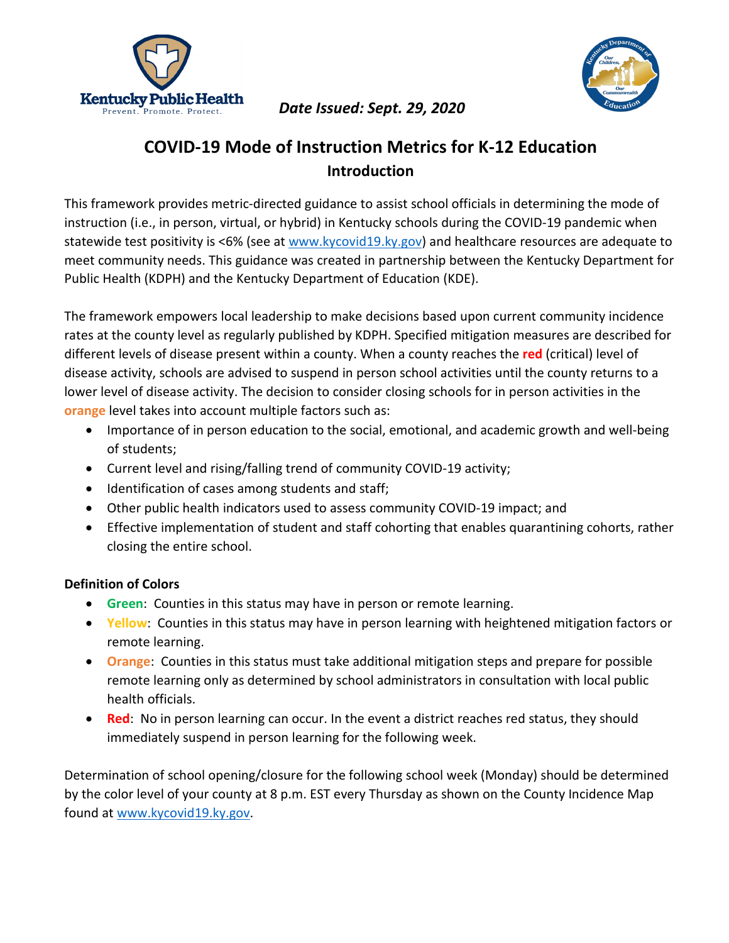



## **COVID-19 Mode of Instruction Metrics for K-12 Education Introduction**

This framework provides metric-directed guidance to assist school officials in determining the mode of instruction (i.e., in person, virtual, or hybrid) in Kentucky schools during the COVID-19 pandemic when statewide test positivity is <6% (see at [www.kycovid19.ky.gov\)](http://www.kycovid19.ky.gov/) and healthcare resources are adequate to meet community needs. This guidance was created in partnership between the Kentucky Department for Public Health (KDPH) and the Kentucky Department of Education (KDE).

The framework empowers local leadership to make decisions based upon current community incidence rates at the county level as regularly published by KDPH. Specified mitigation measures are described for different levels of disease present within a county. When a county reaches the **red** (critical) level of disease activity, schools are advised to suspend in person school activities until the county returns to a lower level of disease activity. The decision to consider closing schools for in person activities in the **orange** level takes into account multiple factors such as:

- Importance of in person education to the social, emotional, and academic growth and well-being of students;
- Current level and rising/falling trend of community COVID-19 activity;
- Identification of cases among students and staff;
- Other public health indicators used to assess community COVID-19 impact; and
- Effective implementation of student and staff cohorting that enables quarantining cohorts, rather closing the entire school.

## **Definition of Colors**

- **Green**: Counties in this status may have in person or remote learning.
- **Yellow**: Counties in this status may have in person learning with heightened mitigation factors or remote learning.
- **Orange**: Counties in this status must take additional mitigation steps and prepare for possible remote learning only as determined by school administrators in consultation with local public health officials.
- **Red**: No in person learning can occur. In the event a district reaches red status, they should immediately suspend in person learning for the following week.

Determination of school opening/closure for the following school week (Monday) should be determined by the color level of your county at 8 p.m. EST every Thursday as shown on the County Incidence Map found at [www.kycovid19.ky.gov.](http://www.kycovid19.ky.gov/)